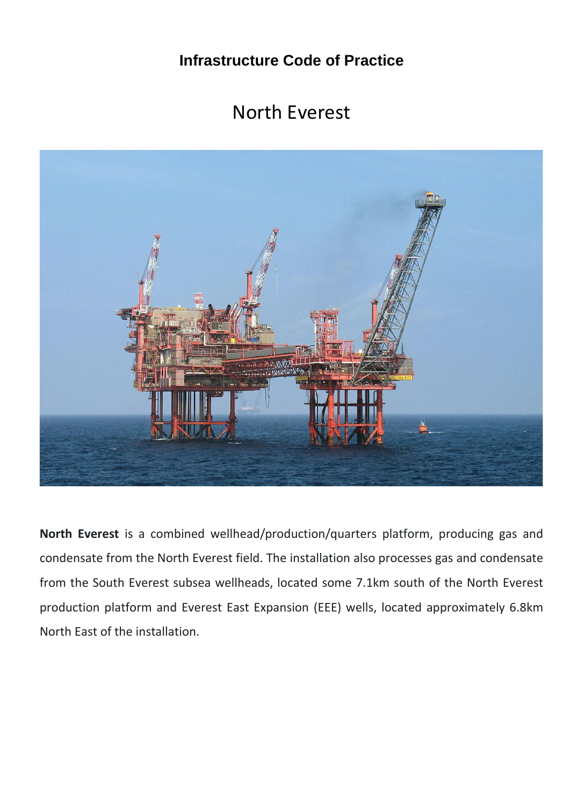**Infrastructure Code of Practice**

## North Everest



**North Everest** is a combined wellhead/production/quarters platform, producing gas and condensate from the North Everest field. The installation also processes gas and condensate from the South Everest subsea wellheads, located some 7.1km south of the North Everest production platform and Everest East Expansion (EEE) wells, located approximately 6.8km North East of the installation.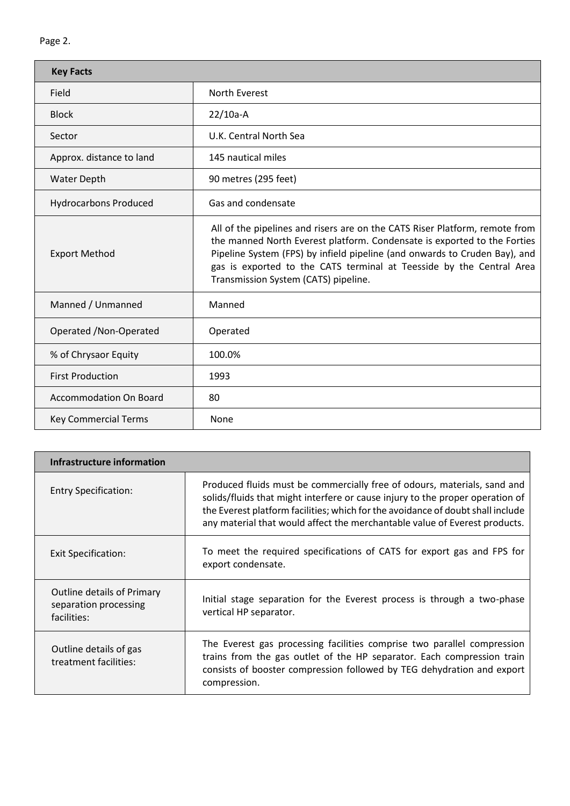| <b>Key Facts</b>             |                                                                                                                                                                                                                                                                                                                                                       |  |  |  |
|------------------------------|-------------------------------------------------------------------------------------------------------------------------------------------------------------------------------------------------------------------------------------------------------------------------------------------------------------------------------------------------------|--|--|--|
| Field                        | North Everest                                                                                                                                                                                                                                                                                                                                         |  |  |  |
| <b>Block</b>                 | $22/10a-A$                                                                                                                                                                                                                                                                                                                                            |  |  |  |
| Sector                       | U.K. Central North Sea                                                                                                                                                                                                                                                                                                                                |  |  |  |
| Approx. distance to land     | 145 nautical miles                                                                                                                                                                                                                                                                                                                                    |  |  |  |
| <b>Water Depth</b>           | 90 metres (295 feet)                                                                                                                                                                                                                                                                                                                                  |  |  |  |
| <b>Hydrocarbons Produced</b> | Gas and condensate                                                                                                                                                                                                                                                                                                                                    |  |  |  |
| <b>Export Method</b>         | All of the pipelines and risers are on the CATS Riser Platform, remote from<br>the manned North Everest platform. Condensate is exported to the Forties<br>Pipeline System (FPS) by infield pipeline (and onwards to Cruden Bay), and<br>gas is exported to the CATS terminal at Teesside by the Central Area<br>Transmission System (CATS) pipeline. |  |  |  |
| Manned / Unmanned            | Manned                                                                                                                                                                                                                                                                                                                                                |  |  |  |
| Operated / Non-Operated      | Operated                                                                                                                                                                                                                                                                                                                                              |  |  |  |
| % of Chrysaor Equity         | 100.0%                                                                                                                                                                                                                                                                                                                                                |  |  |  |
| <b>First Production</b>      | 1993                                                                                                                                                                                                                                                                                                                                                  |  |  |  |
| Accommodation On Board       | 80                                                                                                                                                                                                                                                                                                                                                    |  |  |  |
| <b>Key Commercial Terms</b>  | None                                                                                                                                                                                                                                                                                                                                                  |  |  |  |

| Infrastructure information                                         |                                                                                                                                                                                                                                                                                                                            |
|--------------------------------------------------------------------|----------------------------------------------------------------------------------------------------------------------------------------------------------------------------------------------------------------------------------------------------------------------------------------------------------------------------|
| <b>Entry Specification:</b>                                        | Produced fluids must be commercially free of odours, materials, sand and<br>solids/fluids that might interfere or cause injury to the proper operation of<br>the Everest platform facilities; which for the avoidance of doubt shall include<br>any material that would affect the merchantable value of Everest products. |
| Exit Specification:                                                | To meet the required specifications of CATS for export gas and FPS for<br>export condensate.                                                                                                                                                                                                                               |
| Outline details of Primary<br>separation processing<br>facilities: | Initial stage separation for the Everest process is through a two-phase<br>vertical HP separator.                                                                                                                                                                                                                          |
| Outline details of gas<br>treatment facilities:                    | The Everest gas processing facilities comprise two parallel compression<br>trains from the gas outlet of the HP separator. Each compression train<br>consists of booster compression followed by TEG dehydration and export<br>compression.                                                                                |